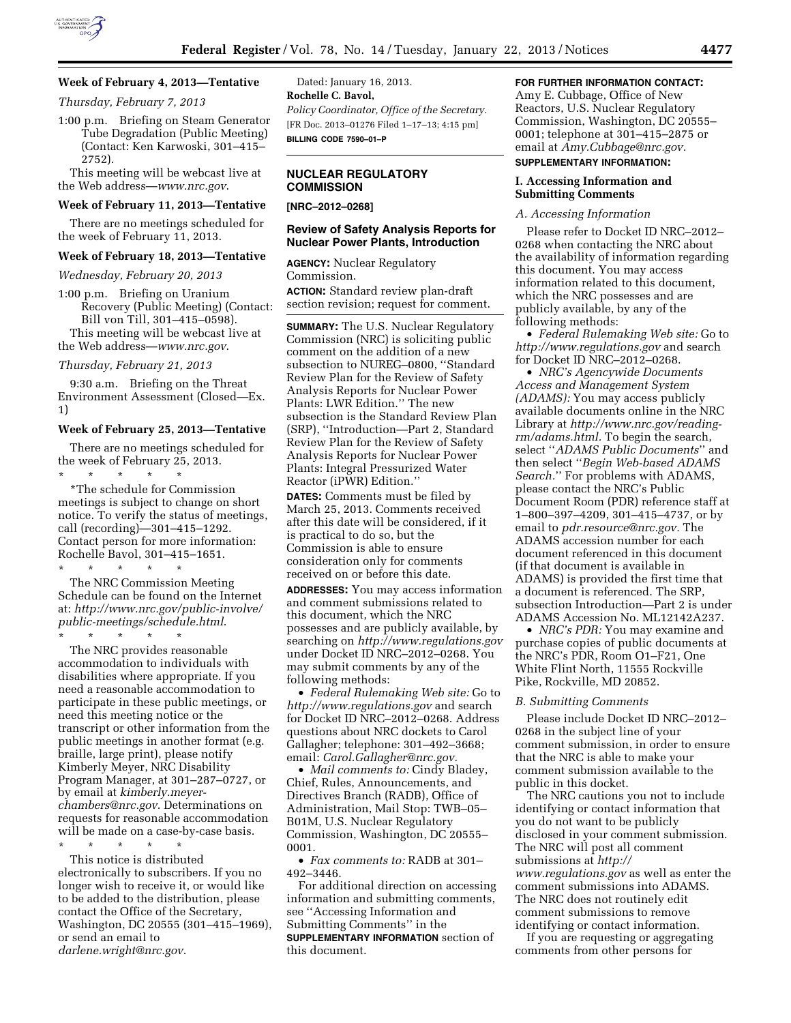

#### **Week of February 4, 2013—Tentative**

*Thursday, February 7, 2013* 

1:00 p.m. Briefing on Steam Generator Tube Degradation (Public Meeting) (Contact: Ken Karwoski, 301–415– 2752).

This meeting will be webcast live at the Web address—*[www.nrc.gov](http://www.nrc.gov)*.

### **Week of February 11, 2013—Tentative**

There are no meetings scheduled for the week of February 11, 2013.

### **Week of February 18, 2013—Tentative**

*Wednesday, February 20, 2013* 

1:00 p.m. Briefing on Uranium Recovery (Public Meeting) (Contact: Bill von Till, 301–415–0598).

This meeting will be webcast live at the Web address—*[www.nrc.gov](http://www.nrc.gov)*.

#### *Thursday, February 21, 2013*

9:30 a.m. Briefing on the Threat Environment Assessment (Closed—Ex. 1)

#### **Week of February 25, 2013—Tentative**

There are no meetings scheduled for the week of February 25, 2013.

\* \* \* \* \* \*The schedule for Commission meetings is subject to change on short notice. To verify the status of meetings, call (recording)—301–415–1292. Contact person for more information: Rochelle Bavol, 301–415–1651. \* \* \* \* \*

The NRC Commission Meeting Schedule can be found on the Internet at: *[http://www.nrc.gov/public-involve/](http://www.nrc.gov/public-involve/public-meetings/schedule.html) [public-meetings/schedule.html](http://www.nrc.gov/public-involve/public-meetings/schedule.html)*. \* \* \* \* \*

The NRC provides reasonable accommodation to individuals with disabilities where appropriate. If you need a reasonable accommodation to participate in these public meetings, or need this meeting notice or the transcript or other information from the public meetings in another format (e.g. braille, large print), please notify Kimberly Meyer, NRC Disability Program Manager, at 301–287–0727, or by email at *[kimberly.meyer](mailto:kimberly.meyer-chambers@nrc.gov)[chambers@nrc.gov](mailto:kimberly.meyer-chambers@nrc.gov)*. Determinations on requests for reasonable accommodation will be made on a case-by-case basis.

\* \* \* \* \* This notice is distributed electronically to subscribers. If you no longer wish to receive it, or would like to be added to the distribution, please contact the Office of the Secretary, Washington, DC 20555 (301–415–1969), or send an email to *[darlene.wright@nrc.gov](mailto:darlene.wright@nrc.gov)*.

Dated: January 16, 2013. **Rochelle C. Bavol,**  *Policy Coordinator, Office of the Secretary.*  [FR Doc. 2013–01276 Filed 1–17–13; 4:15 pm] **BILLING CODE 7590–01–P** 

#### **NUCLEAR REGULATORY COMMISSION**

**[NRC–2012–0268]** 

#### **Review of Safety Analysis Reports for Nuclear Power Plants, Introduction**

**AGENCY:** Nuclear Regulatory Commission.

**ACTION:** Standard review plan-draft section revision; request for comment.

**SUMMARY:** The U.S. Nuclear Regulatory Commission (NRC) is soliciting public comment on the addition of a new subsection to NUREG–0800, ''Standard Review Plan for the Review of Safety Analysis Reports for Nuclear Power Plants: LWR Edition.'' The new subsection is the Standard Review Plan (SRP), ''Introduction—Part 2, Standard Review Plan for the Review of Safety Analysis Reports for Nuclear Power Plants: Integral Pressurized Water Reactor (iPWR) Edition.''

**DATES:** Comments must be filed by March 25, 2013. Comments received after this date will be considered, if it is practical to do so, but the Commission is able to ensure consideration only for comments received on or before this date.

**ADDRESSES:** You may access information and comment submissions related to this document, which the NRC possesses and are publicly available, by searching on *<http://www.regulations.gov>*  under Docket ID NRC–2012–0268. You may submit comments by any of the following methods:

• *Federal Rulemaking Web site:* Go to *<http://www.regulations.gov>* and search for Docket ID NRC–2012–0268. Address questions about NRC dockets to Carol Gallagher; telephone: 301–492–3668; email: *[Carol.Gallagher@nrc.gov.](mailto:Carol.Gallagher@nrc.gov)* 

• *Mail comments to:* Cindy Bladey, Chief, Rules, Announcements, and Directives Branch (RADB), Office of Administration, Mail Stop: TWB–05– B01M, U.S. Nuclear Regulatory Commission, Washington, DC 20555– 0001.

• *Fax comments to:* RADB at 301– 492–3446.

For additional direction on accessing information and submitting comments, see ''Accessing Information and Submitting Comments'' in the **SUPPLEMENTARY INFORMATION** section of this document.

#### **FOR FURTHER INFORMATION CONTACT:**

Amy E. Cubbage, Office of New Reactors, U.S. Nuclear Regulatory Commission, Washington, DC 20555– 0001; telephone at 301–415–2875 or email at *[Amy.Cubbage@nrc.gov.](mailto:Amy.Cubbage@nrc.gov)* 

# **SUPPLEMENTARY INFORMATION:**

#### **I. Accessing Information and Submitting Comments**

#### *A. Accessing Information*

Please refer to Docket ID NRC–2012– 0268 when contacting the NRC about the availability of information regarding this document. You may access information related to this document, which the NRC possesses and are publicly available, by any of the following methods:

• *Federal Rulemaking Web site:* Go to *<http://www.regulations.gov>* and search for Docket ID NRC–2012–0268.

• *NRC's Agencywide Documents Access and Management System (ADAMS):* You may access publicly available documents online in the NRC Library at *[http://www.nrc.gov/reading](http://www.nrc.gov/reading-rm/adams.html)[rm/adams.html.](http://www.nrc.gov/reading-rm/adams.html)* To begin the search, select ''*ADAMS Public Documents*'' and then select ''*Begin Web-based ADAMS Search.*'' For problems with ADAMS, please contact the NRC's Public Document Room (PDR) reference staff at 1–800–397–4209, 301–415–4737, or by email to *[pdr.resource@nrc.gov.](mailto:pdr.resource@nrc.gov)* The ADAMS accession number for each document referenced in this document (if that document is available in ADAMS) is provided the first time that a document is referenced. The SRP, subsection Introduction—Part 2 is under ADAMS Accession No. ML12142A237.

• *NRC's PDR:* You may examine and purchase copies of public documents at the NRC's PDR, Room O1–F21, One White Flint North, 11555 Rockville Pike, Rockville, MD 20852.

#### *B. Submitting Comments*

Please include Docket ID NRC–2012– 0268 in the subject line of your comment submission, in order to ensure that the NRC is able to make your comment submission available to the public in this docket.

The NRC cautions you not to include identifying or contact information that you do not want to be publicly disclosed in your comment submission. The NRC will post all comment submissions at *[http://](http://www.regulations.gov)  [www.regulations.gov](http://www.regulations.gov)* as well as enter the comment submissions into ADAMS. The NRC does not routinely edit comment submissions to remove identifying or contact information.

If you are requesting or aggregating comments from other persons for